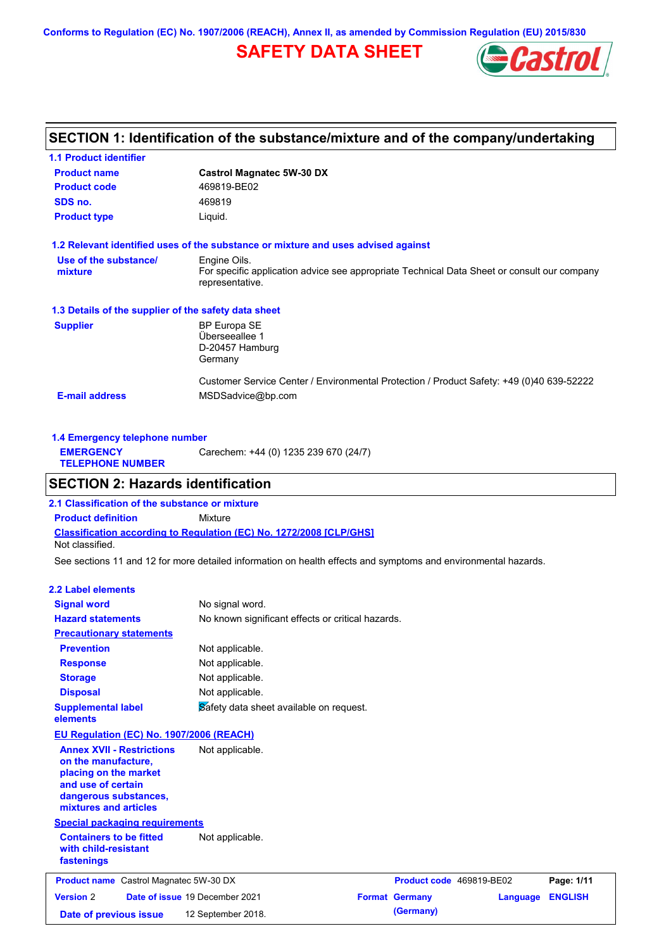**Conforms to Regulation (EC) No. 1907/2006 (REACH), Annex II, as amended by Commission Regulation (EU) 2015/830**

# **SAFETY DATA SHEET**



# **SECTION 1: Identification of the substance/mixture and of the company/undertaking**

| <b>1.1 Product identifier</b>                        |                                                                                                                |
|------------------------------------------------------|----------------------------------------------------------------------------------------------------------------|
| <b>Product name</b>                                  | <b>Castrol Magnatec 5W-30 DX</b>                                                                               |
| <b>Product code</b>                                  | 469819-BE02                                                                                                    |
| SDS no.                                              | 469819                                                                                                         |
| <b>Product type</b>                                  | Liquid.                                                                                                        |
|                                                      | 1.2 Relevant identified uses of the substance or mixture and uses advised against                              |
| Use of the substance/                                | Engine Oils.                                                                                                   |
| mixture                                              | For specific application advice see appropriate Technical Data Sheet or consult our company<br>representative. |
| 1.3 Details of the supplier of the safety data sheet |                                                                                                                |
| <b>Supplier</b>                                      | <b>BP Europa SE</b>                                                                                            |
|                                                      | Überseeallee 1                                                                                                 |
|                                                      | D-20457 Hamburg                                                                                                |
|                                                      | Germany                                                                                                        |
|                                                      | Customer Service Center / Environmental Protection / Product Safety: +49 (0)40 639-52222                       |
| <b>E-mail address</b>                                | MSDSadvice@bp.com                                                                                              |
|                                                      |                                                                                                                |

| 1.4 Emergency telephone number              |                                       |  |  |  |  |  |  |
|---------------------------------------------|---------------------------------------|--|--|--|--|--|--|
| <b>EMERGENCY</b><br><b>TELEPHONE NUMBER</b> | Carechem: +44 (0) 1235 239 670 (24/7) |  |  |  |  |  |  |

# **SECTION 2: Hazards identification**

**Classification according to Regulation (EC) No. 1272/2008 [CLP/GHS] 2.1 Classification of the substance or mixture Product definition** Mixture Not classified.

See sections 11 and 12 for more detailed information on health effects and symptoms and environmental hazards.

#### **2.2 Label elements**

| <b>Signal word</b>                                                                                                                                       | No signal word.                                   |                          |          |                |
|----------------------------------------------------------------------------------------------------------------------------------------------------------|---------------------------------------------------|--------------------------|----------|----------------|
| <b>Hazard statements</b>                                                                                                                                 | No known significant effects or critical hazards. |                          |          |                |
| <b>Precautionary statements</b>                                                                                                                          |                                                   |                          |          |                |
| <b>Prevention</b>                                                                                                                                        | Not applicable.                                   |                          |          |                |
| <b>Response</b>                                                                                                                                          | Not applicable.                                   |                          |          |                |
| <b>Storage</b>                                                                                                                                           | Not applicable.                                   |                          |          |                |
| <b>Disposal</b>                                                                                                                                          | Not applicable.                                   |                          |          |                |
| <b>Supplemental label</b><br>elements                                                                                                                    | Safety data sheet available on request.           |                          |          |                |
| EU Regulation (EC) No. 1907/2006 (REACH)                                                                                                                 |                                                   |                          |          |                |
| <b>Annex XVII - Restrictions</b><br>on the manufacture,<br>placing on the market<br>and use of certain<br>dangerous substances,<br>mixtures and articles | Not applicable.                                   |                          |          |                |
| <b>Special packaging requirements</b>                                                                                                                    |                                                   |                          |          |                |
| <b>Containers to be fitted</b><br>with child-resistant<br>fastenings                                                                                     | Not applicable.                                   |                          |          |                |
| <b>Product name</b> Castrol Magnatec 5W-30 DX                                                                                                            |                                                   | Product code 469819-BE02 |          | Page: 1/11     |
| <b>Version 2</b>                                                                                                                                         | Date of issue 19 December 2021                    | <b>Format Germany</b>    | Language | <b>ENGLISH</b> |
| Date of previous issue                                                                                                                                   | 12 September 2018.                                | (Germany)                |          |                |
|                                                                                                                                                          |                                                   |                          |          |                |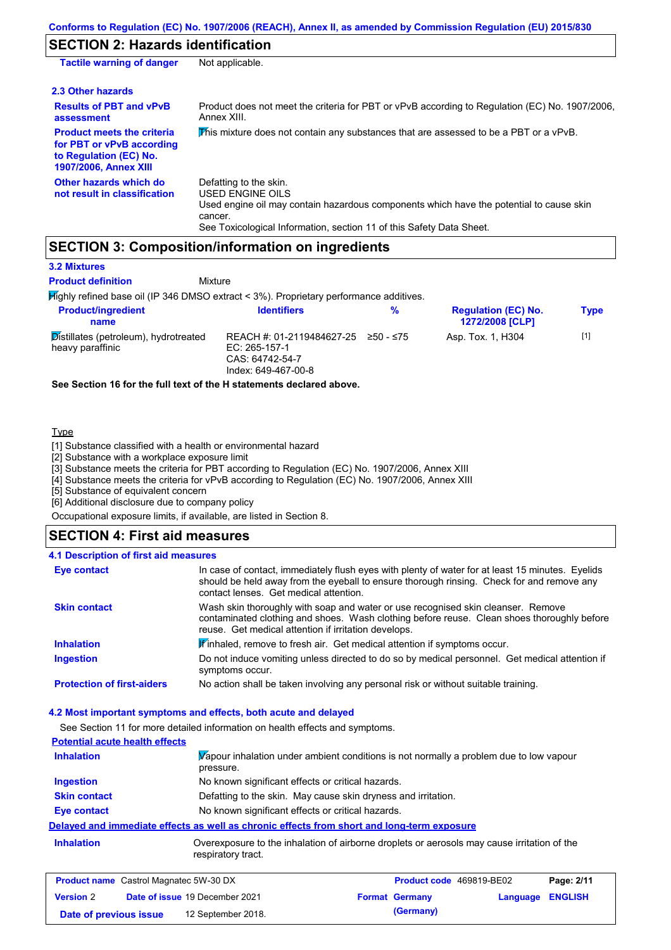## **SECTION 2: Hazards identification**

| <b>Tactile warning of danger</b>                                                                                         | Not applicable.                                                                                                                                                                                                          |
|--------------------------------------------------------------------------------------------------------------------------|--------------------------------------------------------------------------------------------------------------------------------------------------------------------------------------------------------------------------|
| 2.3 Other hazards                                                                                                        |                                                                                                                                                                                                                          |
| <b>Results of PBT and vPvB</b><br>assessment                                                                             | Product does not meet the criteria for PBT or vPvB according to Regulation (EC) No. 1907/2006,<br>Annex XIII.                                                                                                            |
| <b>Product meets the criteria</b><br>for PBT or vPvB according<br>to Regulation (EC) No.<br><b>1907/2006, Annex XIII</b> | This mixture does not contain any substances that are assessed to be a PBT or a vPvB.                                                                                                                                    |
| Other hazards which do<br>not result in classification                                                                   | Defatting to the skin.<br>USED ENGINE OILS<br>Used engine oil may contain hazardous components which have the potential to cause skin<br>cancer.<br>See Toxicological Information, section 11 of this Safety Data Sheet. |

### **SECTION 3: Composition/information on ingredients**

**Mixture** 

#### **3.2 Mixtures**

**Product definition**

Highly refined base oil (IP 346 DMSO extract < 3%). Proprietary performance additives.

|                                                                                      |           | <b>1272/2008 [CLP]</b> | Type                                                  |
|--------------------------------------------------------------------------------------|-----------|------------------------|-------------------------------------------------------|
| REACH #: 01-2119484627-25<br>EC: 265-157-1<br>CAS: 64742-54-7<br>Index: 649-467-00-8 | 250 - ≤75 | Asp. Tox. 1, H304      | $[1]$                                                 |
|                                                                                      |           |                        | <b>Regulation (EC) No.</b><br><b>Identifiers</b><br>% |

**See Section 16 for the full text of the H statements declared above.**

#### **Type**

[1] Substance classified with a health or environmental hazard

[2] Substance with a workplace exposure limit

[3] Substance meets the criteria for PBT according to Regulation (EC) No. 1907/2006, Annex XIII

[4] Substance meets the criteria for vPvB according to Regulation (EC) No. 1907/2006, Annex XIII

[5] Substance of equivalent concern

[6] Additional disclosure due to company policy

Occupational exposure limits, if available, are listed in Section 8.

### **SECTION 4: First aid measures**

#### Do not induce vomiting unless directed to do so by medical personnel. Get medical attention if symptoms occur. In case of contact, immediately flush eyes with plenty of water for at least 15 minutes. Eyelids should be held away from the eyeball to ensure thorough rinsing. Check for and remove any contact lenses. Get medical attention. **4.1 Description of first aid measures** If inhaled, remove to fresh air. Get medical attention if symptoms occur. **Ingestion Inhalation Eye contact Protection of first-aiders** No action shall be taken involving any personal risk or without suitable training. **Skin contact** Wash skin thoroughly with soap and water or use recognised skin cleanser. Remove contaminated clothing and shoes. Wash clothing before reuse. Clean shoes thoroughly before reuse. Get medical attention if irritation develops.

#### **4.2 Most important symptoms and effects, both acute and delayed**

See Section 11 for more detailed information on health effects and symptoms. **Potential acute health effects Inhalation** Vapour inhalation under ambient conditions is not normally a problem due to low vapour pressure. **Ingestion** No known significant effects or critical hazards. **Skin contact** Defatting to the skin. May cause skin dryness and irritation. **Eye contact** No known significant effects or critical hazards. **Delayed and immediate effects as well as chronic effects from short and long-term exposure Inhalation Inhalation** Overexposure to the inhalation of airborne droplets or aerosols may cause irritation of the respiratory tract.

| <b>Product name</b> Castrol Magnatec 5W-30 DX |  | Product code 469819-BE02              |  | Page: 2/11            |                  |  |
|-----------------------------------------------|--|---------------------------------------|--|-----------------------|------------------|--|
| <b>Version 2</b>                              |  | <b>Date of issue 19 December 2021</b> |  | <b>Format Germany</b> | Language ENGLISH |  |
| Date of previous issue                        |  | 12 September 2018.                    |  | (Germany)             |                  |  |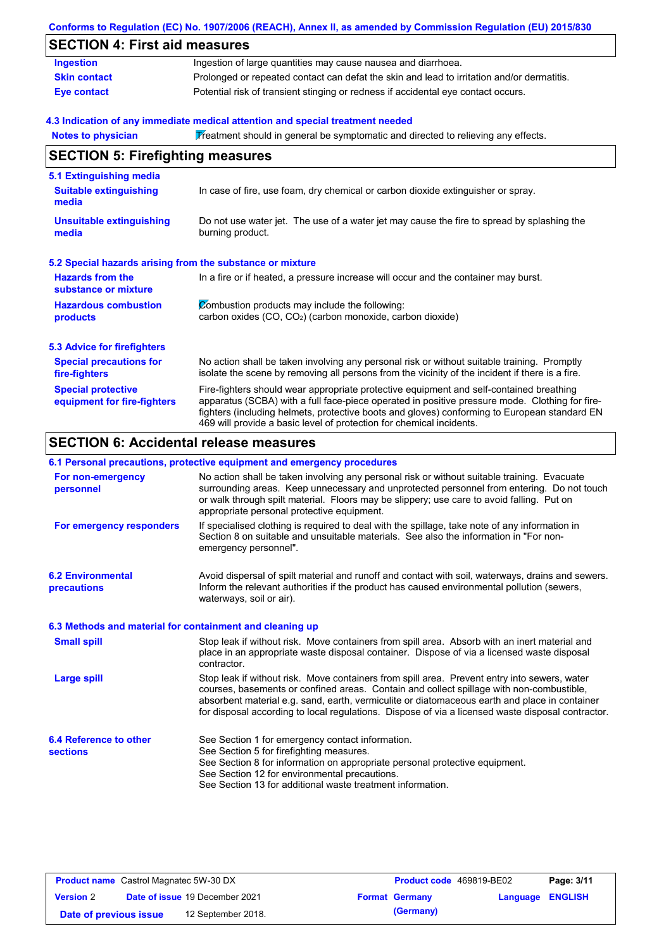|                                                           | Conforms to Regulation (EC) No. 1907/2006 (REACH), Annex II, as amended by Commission Regulation (EU) 2015/830                                                                                                                                                                                                                                                    |
|-----------------------------------------------------------|-------------------------------------------------------------------------------------------------------------------------------------------------------------------------------------------------------------------------------------------------------------------------------------------------------------------------------------------------------------------|
| <b>SECTION 4: First aid measures</b>                      |                                                                                                                                                                                                                                                                                                                                                                   |
| <b>Ingestion</b>                                          | Ingestion of large quantities may cause nausea and diarrhoea.                                                                                                                                                                                                                                                                                                     |
| <b>Skin contact</b>                                       | Prolonged or repeated contact can defat the skin and lead to irritation and/or dermatitis.                                                                                                                                                                                                                                                                        |
| <b>Eye contact</b>                                        | Potential risk of transient stinging or redness if accidental eye contact occurs.                                                                                                                                                                                                                                                                                 |
|                                                           | 4.3 Indication of any immediate medical attention and special treatment needed                                                                                                                                                                                                                                                                                    |
| <b>Notes to physician</b>                                 | Treatment should in general be symptomatic and directed to relieving any effects.                                                                                                                                                                                                                                                                                 |
| <b>SECTION 5: Firefighting measures</b>                   |                                                                                                                                                                                                                                                                                                                                                                   |
| 5.1 Extinguishing media                                   |                                                                                                                                                                                                                                                                                                                                                                   |
| <b>Suitable extinguishing</b><br>media                    | In case of fire, use foam, dry chemical or carbon dioxide extinguisher or spray.                                                                                                                                                                                                                                                                                  |
| <b>Unsuitable extinguishing</b><br>media                  | Do not use water jet. The use of a water jet may cause the fire to spread by splashing the<br>burning product.                                                                                                                                                                                                                                                    |
| 5.2 Special hazards arising from the substance or mixture |                                                                                                                                                                                                                                                                                                                                                                   |
| <b>Hazards from the</b><br>substance or mixture           | In a fire or if heated, a pressure increase will occur and the container may burst.                                                                                                                                                                                                                                                                               |
| <b>Hazardous combustion</b>                               | Combustion products may include the following:                                                                                                                                                                                                                                                                                                                    |
| products                                                  | carbon oxides (CO, CO <sub>2</sub> ) (carbon monoxide, carbon dioxide)                                                                                                                                                                                                                                                                                            |
| <b>5.3 Advice for firefighters</b>                        |                                                                                                                                                                                                                                                                                                                                                                   |
| <b>Special precautions for</b><br>fire-fighters           | No action shall be taken involving any personal risk or without suitable training. Promptly<br>isolate the scene by removing all persons from the vicinity of the incident if there is a fire.                                                                                                                                                                    |
| <b>Special protective</b><br>equipment for fire-fighters  | Fire-fighters should wear appropriate protective equipment and self-contained breathing<br>apparatus (SCBA) with a full face-piece operated in positive pressure mode. Clothing for fire-<br>fighters (including helmets, protective boots and gloves) conforming to European standard EN<br>469 will provide a basic level of protection for chemical incidents. |

# **SECTION 6: Accidental release measures**

#### **6.1 Personal precautions, protective equipment and emergency procedures**

| For non-emergency<br>personnel                           | No action shall be taken involving any personal risk or without suitable training. Evacuate<br>surrounding areas. Keep unnecessary and unprotected personnel from entering. Do not touch<br>or walk through spilt material. Floors may be slippery; use care to avoid falling. Put on<br>appropriate personal protective equipment.                                                            |
|----------------------------------------------------------|------------------------------------------------------------------------------------------------------------------------------------------------------------------------------------------------------------------------------------------------------------------------------------------------------------------------------------------------------------------------------------------------|
| For emergency responders                                 | If specialised clothing is required to deal with the spillage, take note of any information in<br>Section 8 on suitable and unsuitable materials. See also the information in "For non-<br>emergency personnel".                                                                                                                                                                               |
| <b>6.2 Environmental</b><br>precautions                  | Avoid dispersal of spilt material and runoff and contact with soil, waterways, drains and sewers.<br>Inform the relevant authorities if the product has caused environmental pollution (sewers,<br>waterways, soil or air).                                                                                                                                                                    |
| 6.3 Methods and material for containment and cleaning up |                                                                                                                                                                                                                                                                                                                                                                                                |
| <b>Small spill</b>                                       | Stop leak if without risk. Move containers from spill area. Absorb with an inert material and<br>place in an appropriate waste disposal container. Dispose of via a licensed waste disposal<br>contractor.                                                                                                                                                                                     |
| Large spill                                              | Stop leak if without risk. Move containers from spill area. Prevent entry into sewers, water<br>courses, basements or confined areas. Contain and collect spillage with non-combustible,<br>absorbent material e.g. sand, earth, vermiculite or diatomaceous earth and place in container<br>for disposal according to local regulations. Dispose of via a licensed waste disposal contractor. |
| 6.4 Reference to other                                   | See Section 1 for emergency contact information.                                                                                                                                                                                                                                                                                                                                               |
| <b>sections</b>                                          | See Section 5 for firefighting measures.                                                                                                                                                                                                                                                                                                                                                       |
|                                                          | See Section 8 for information on appropriate personal protective equipment.                                                                                                                                                                                                                                                                                                                    |
|                                                          | See Section 12 for environmental precautions.                                                                                                                                                                                                                                                                                                                                                  |
|                                                          | See Section 13 for additional waste treatment information.                                                                                                                                                                                                                                                                                                                                     |

| <b>Product name</b> Castrol Magnatec 5W-30 DX |  | <b>Product code</b> 469819-BE02       |  | Page: 3/11            |                         |  |
|-----------------------------------------------|--|---------------------------------------|--|-----------------------|-------------------------|--|
| <b>Version 2</b>                              |  | <b>Date of issue 19 December 2021</b> |  | <b>Format Germany</b> | <b>Language ENGLISH</b> |  |
| Date of previous issue                        |  | 12 September 2018.                    |  | (Germany)             |                         |  |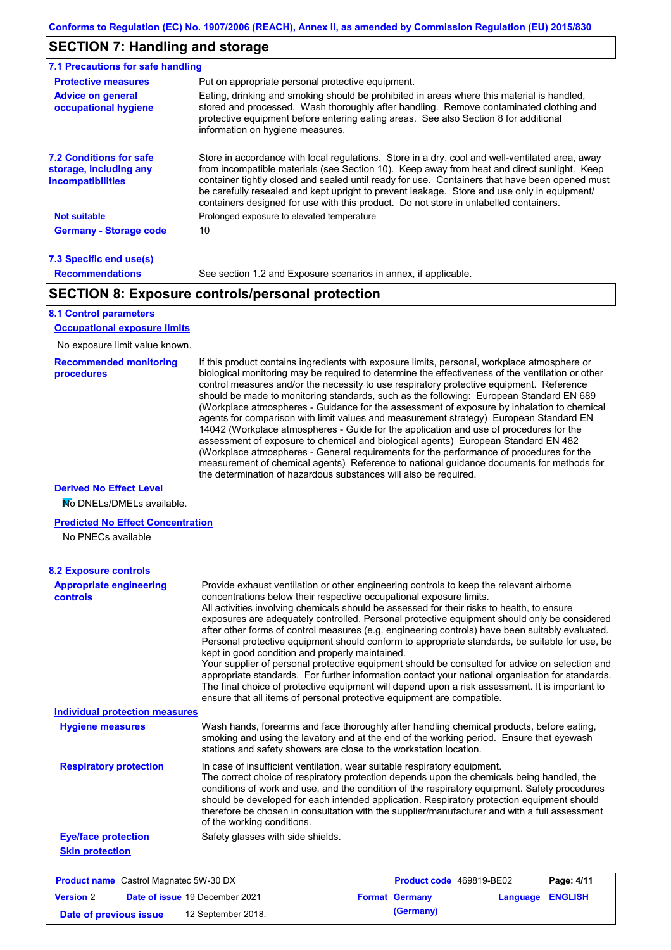## **SECTION 7: Handling and storage**

| <b>Protective measures</b>                                                    | Put on appropriate personal protective equipment.                                                                                                                                                                                                                                                                                                                                                                                                                                        |
|-------------------------------------------------------------------------------|------------------------------------------------------------------------------------------------------------------------------------------------------------------------------------------------------------------------------------------------------------------------------------------------------------------------------------------------------------------------------------------------------------------------------------------------------------------------------------------|
| <b>Advice on general</b><br>occupational hygiene                              | Eating, drinking and smoking should be prohibited in areas where this material is handled,<br>stored and processed. Wash thoroughly after handling. Remove contaminated clothing and<br>protective equipment before entering eating areas. See also Section 8 for additional<br>information on hygiene measures.                                                                                                                                                                         |
| <b>7.2 Conditions for safe</b><br>storage, including any<br>incompatibilities | Store in accordance with local regulations. Store in a dry, cool and well-ventilated area, away<br>from incompatible materials (see Section 10). Keep away from heat and direct sunlight. Keep<br>container tightly closed and sealed until ready for use. Containers that have been opened must<br>be carefully resealed and kept upright to prevent leakage. Store and use only in equipment/<br>containers designed for use with this product. Do not store in unlabelled containers. |
| <b>Not suitable</b>                                                           | Prolonged exposure to elevated temperature                                                                                                                                                                                                                                                                                                                                                                                                                                               |
| <b>Germany - Storage code</b>                                                 | 10                                                                                                                                                                                                                                                                                                                                                                                                                                                                                       |

#### **7.3 Specific end use(s) Recommendations**

See section 1.2 and Exposure scenarios in annex, if applicable.

### **SECTION 8: Exposure controls/personal protection**

#### **8.1 Control parameters**

**Occupational exposure limits**

No exposure limit value known.

#### **Recommended monitoring procedures**

If this product contains ingredients with exposure limits, personal, workplace atmosphere or biological monitoring may be required to determine the effectiveness of the ventilation or other control measures and/or the necessity to use respiratory protective equipment. Reference should be made to monitoring standards, such as the following: European Standard EN 689 (Workplace atmospheres - Guidance for the assessment of exposure by inhalation to chemical agents for comparison with limit values and measurement strategy) European Standard EN 14042 (Workplace atmospheres - Guide for the application and use of procedures for the assessment of exposure to chemical and biological agents) European Standard EN 482 (Workplace atmospheres - General requirements for the performance of procedures for the measurement of chemical agents) Reference to national guidance documents for methods for the determination of hazardous substances will also be required.

#### **Derived No Effect Level**

**No DNELs/DMELs available.** 

#### **Predicted No Effect Concentration**

No PNECs available

| <b>8.2 Exposure controls</b>                      |                                                                                                                                                                                                                                                                                                                                                                                                                                                                                                                                                                                                                                                                                                                                                                                                                                                                                                                                                                                                         |  |                          |          |                |
|---------------------------------------------------|---------------------------------------------------------------------------------------------------------------------------------------------------------------------------------------------------------------------------------------------------------------------------------------------------------------------------------------------------------------------------------------------------------------------------------------------------------------------------------------------------------------------------------------------------------------------------------------------------------------------------------------------------------------------------------------------------------------------------------------------------------------------------------------------------------------------------------------------------------------------------------------------------------------------------------------------------------------------------------------------------------|--|--------------------------|----------|----------------|
| <b>Appropriate engineering</b><br><b>controls</b> | Provide exhaust ventilation or other engineering controls to keep the relevant airborne<br>concentrations below their respective occupational exposure limits.<br>All activities involving chemicals should be assessed for their risks to health, to ensure<br>exposures are adequately controlled. Personal protective equipment should only be considered<br>after other forms of control measures (e.g. engineering controls) have been suitably evaluated.<br>Personal protective equipment should conform to appropriate standards, be suitable for use, be<br>kept in good condition and properly maintained.<br>Your supplier of personal protective equipment should be consulted for advice on selection and<br>appropriate standards. For further information contact your national organisation for standards.<br>The final choice of protective equipment will depend upon a risk assessment. It is important to<br>ensure that all items of personal protective equipment are compatible. |  |                          |          |                |
| <b>Individual protection measures</b>             |                                                                                                                                                                                                                                                                                                                                                                                                                                                                                                                                                                                                                                                                                                                                                                                                                                                                                                                                                                                                         |  |                          |          |                |
| <b>Hygiene measures</b>                           | Wash hands, forearms and face thoroughly after handling chemical products, before eating,<br>smoking and using the lavatory and at the end of the working period. Ensure that eyewash<br>stations and safety showers are close to the workstation location.                                                                                                                                                                                                                                                                                                                                                                                                                                                                                                                                                                                                                                                                                                                                             |  |                          |          |                |
| <b>Respiratory protection</b>                     | In case of insufficient ventilation, wear suitable respiratory equipment.<br>The correct choice of respiratory protection depends upon the chemicals being handled, the<br>conditions of work and use, and the condition of the respiratory equipment. Safety procedures<br>should be developed for each intended application. Respiratory protection equipment should<br>therefore be chosen in consultation with the supplier/manufacturer and with a full assessment<br>of the working conditions.                                                                                                                                                                                                                                                                                                                                                                                                                                                                                                   |  |                          |          |                |
| <b>Eye/face protection</b>                        | Safety glasses with side shields.                                                                                                                                                                                                                                                                                                                                                                                                                                                                                                                                                                                                                                                                                                                                                                                                                                                                                                                                                                       |  |                          |          |                |
| <b>Skin protection</b>                            |                                                                                                                                                                                                                                                                                                                                                                                                                                                                                                                                                                                                                                                                                                                                                                                                                                                                                                                                                                                                         |  |                          |          |                |
| <b>Product name</b> Castrol Magnatec 5W-30 DX     |                                                                                                                                                                                                                                                                                                                                                                                                                                                                                                                                                                                                                                                                                                                                                                                                                                                                                                                                                                                                         |  | Product code 469819-BE02 |          | Page: 4/11     |
| <b>Version 2</b>                                  | Date of issue 19 December 2021                                                                                                                                                                                                                                                                                                                                                                                                                                                                                                                                                                                                                                                                                                                                                                                                                                                                                                                                                                          |  | <b>Format Germany</b>    | Language | <b>ENGLISH</b> |

**Date of previous issue 12 September 2018. (Germany)**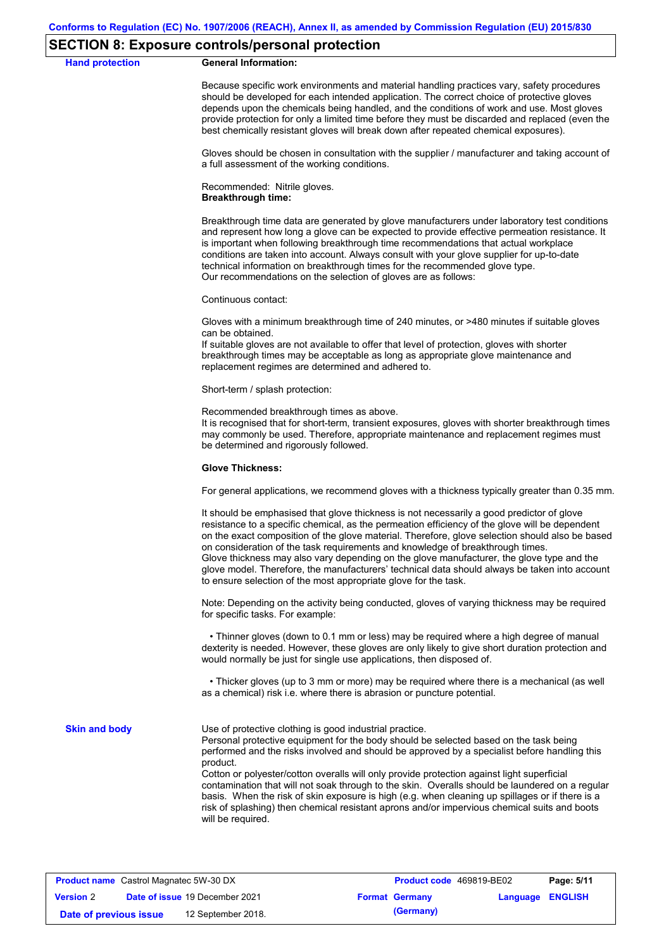#### **SECTION 8: Exposure controls/personal protection**

#### **Hand protection General Information:**

Because specific work environments and material handling practices vary, safety procedures should be developed for each intended application. The correct choice of protective gloves depends upon the chemicals being handled, and the conditions of work and use. Most gloves provide protection for only a limited time before they must be discarded and replaced (even the best chemically resistant gloves will break down after repeated chemical exposures).

Gloves should be chosen in consultation with the supplier / manufacturer and taking account of a full assessment of the working conditions.

Recommended: Nitrile gloves. **Breakthrough time:**

Breakthrough time data are generated by glove manufacturers under laboratory test conditions and represent how long a glove can be expected to provide effective permeation resistance. It is important when following breakthrough time recommendations that actual workplace conditions are taken into account. Always consult with your glove supplier for up-to-date technical information on breakthrough times for the recommended glove type. Our recommendations on the selection of gloves are as follows:

Continuous contact:

Gloves with a minimum breakthrough time of 240 minutes, or >480 minutes if suitable gloves can be obtained.

If suitable gloves are not available to offer that level of protection, gloves with shorter breakthrough times may be acceptable as long as appropriate glove maintenance and replacement regimes are determined and adhered to.

Short-term / splash protection:

Recommended breakthrough times as above.

It is recognised that for short-term, transient exposures, gloves with shorter breakthrough times may commonly be used. Therefore, appropriate maintenance and replacement regimes must be determined and rigorously followed.

#### **Glove Thickness:**

For general applications, we recommend gloves with a thickness typically greater than 0.35 mm.

It should be emphasised that glove thickness is not necessarily a good predictor of glove resistance to a specific chemical, as the permeation efficiency of the glove will be dependent on the exact composition of the glove material. Therefore, glove selection should also be based on consideration of the task requirements and knowledge of breakthrough times. Glove thickness may also vary depending on the glove manufacturer, the glove type and the glove model. Therefore, the manufacturers' technical data should always be taken into account to ensure selection of the most appropriate glove for the task.

Note: Depending on the activity being conducted, gloves of varying thickness may be required for specific tasks. For example:

 • Thinner gloves (down to 0.1 mm or less) may be required where a high degree of manual dexterity is needed. However, these gloves are only likely to give short duration protection and would normally be just for single use applications, then disposed of.

 • Thicker gloves (up to 3 mm or more) may be required where there is a mechanical (as well as a chemical) risk i.e. where there is abrasion or puncture potential.

**Skin and body**

Use of protective clothing is good industrial practice.

Personal protective equipment for the body should be selected based on the task being performed and the risks involved and should be approved by a specialist before handling this product.

Cotton or polyester/cotton overalls will only provide protection against light superficial contamination that will not soak through to the skin. Overalls should be laundered on a regular basis. When the risk of skin exposure is high (e.g. when cleaning up spillages or if there is a risk of splashing) then chemical resistant aprons and/or impervious chemical suits and boots will be required.

| <b>Product name</b> Castrol Magnatec 5W-30 DX |  |                                       | <b>Product code</b> 469819-BE02 | Page: 5/11            |                         |  |
|-----------------------------------------------|--|---------------------------------------|---------------------------------|-----------------------|-------------------------|--|
| <b>Version 2</b>                              |  | <b>Date of issue 19 December 2021</b> |                                 | <b>Format Germany</b> | <b>Language ENGLISH</b> |  |
| Date of previous issue                        |  | 12 September 2018.                    |                                 | (Germany)             |                         |  |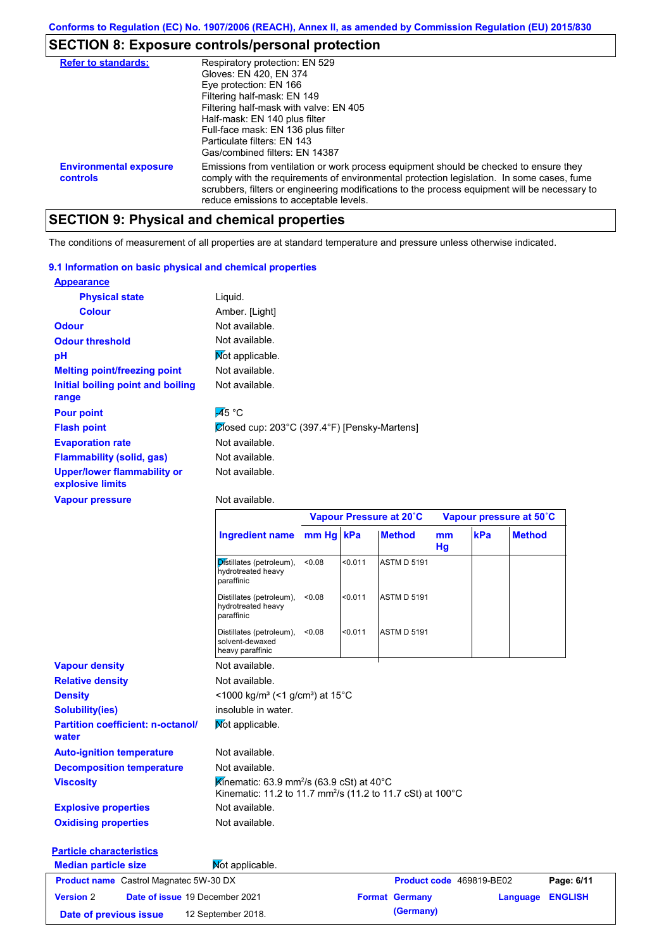# **SECTION 8: Exposure controls/personal protection**

| <b>Refer to standards:</b>                | Respiratory protection: EN 529<br>Gloves: EN 420, EN 374<br>Eye protection: EN 166<br>Filtering half-mask: EN 149<br>Filtering half-mask with valve: EN 405<br>Half-mask: EN 140 plus filter<br>Full-face mask: EN 136 plus filter<br>Particulate filters: FN 143<br>Gas/combined filters: EN 14387                           |
|-------------------------------------------|-------------------------------------------------------------------------------------------------------------------------------------------------------------------------------------------------------------------------------------------------------------------------------------------------------------------------------|
| <b>Environmental exposure</b><br>controls | Emissions from ventilation or work process equipment should be checked to ensure they<br>comply with the requirements of environmental protection legislation. In some cases, fume<br>scrubbers, filters or engineering modifications to the process equipment will be necessary to<br>reduce emissions to acceptable levels. |

# **SECTION 9: Physical and chemical properties**

The conditions of measurement of all properties are at standard temperature and pressure unless otherwise indicated.

#### **9.1 Information on basic physical and chemical properties**

| <b>Appearance</b>                                      |                                              |
|--------------------------------------------------------|----------------------------------------------|
| <b>Physical state</b>                                  | Liquid.                                      |
| <b>Colour</b>                                          | Amber. [Light]                               |
| <b>Odour</b>                                           | Not available.                               |
| <b>Odour threshold</b>                                 | Not available.                               |
| рH                                                     | Mot applicable.                              |
| <b>Melting point/freezing point</b>                    | Not available.                               |
| Initial boiling point and boiling                      | Not available.                               |
| range                                                  |                                              |
| <b>Pour point</b>                                      | $\overline{45}$ °C                           |
| <b>Flash point</b>                                     | Ølosed cup: 203°C (397.4°F) [Pensky-Martens] |
| <b>Evaporation rate</b>                                | Not available.                               |
| <b>Flammability (solid, gas)</b>                       | Not available.                               |
| <b>Upper/lower flammability or</b><br>explosive limits | Not available.                               |
| <b>Vapour pressure</b>                                 | Not available.                               |

#### Not available.

**Date of previous issue 12 September 2018. (Germany)** 

|                                                    |                                                                                                                                              | Vapour Pressure at 20°C |         |                          | Vapour pressure at 50°C |     |               |                |
|----------------------------------------------------|----------------------------------------------------------------------------------------------------------------------------------------------|-------------------------|---------|--------------------------|-------------------------|-----|---------------|----------------|
|                                                    | <b>Ingredient name</b>                                                                                                                       | mm Hg kPa               |         | <b>Method</b>            | mm<br>Hg                | kPa | <b>Method</b> |                |
|                                                    | Distillates (petroleum),<br>hydrotreated heavy<br>paraffinic                                                                                 | < 0.08                  | < 0.011 | <b>ASTM D 5191</b>       |                         |     |               |                |
|                                                    | Distillates (petroleum),<br>hydrotreated heavy<br>paraffinic                                                                                 | < 0.08                  | < 0.011 | <b>ASTM D 5191</b>       |                         |     |               |                |
|                                                    | Distillates (petroleum),<br>solvent-dewaxed<br>heavy paraffinic                                                                              | < 0.08                  | < 0.011 | <b>ASTM D 5191</b>       |                         |     |               |                |
| <b>Vapour density</b>                              | Not available.                                                                                                                               |                         |         |                          |                         |     |               |                |
| <b>Relative density</b>                            | Not available.                                                                                                                               |                         |         |                          |                         |     |               |                |
| <b>Density</b>                                     | <1000 kg/m <sup>3</sup> (<1 g/cm <sup>3</sup> ) at 15°C                                                                                      |                         |         |                          |                         |     |               |                |
| <b>Solubility(ies)</b>                             | insoluble in water.                                                                                                                          |                         |         |                          |                         |     |               |                |
| <b>Partition coefficient: n-octanol/</b><br>water  | Mot applicable.                                                                                                                              |                         |         |                          |                         |     |               |                |
| <b>Auto-ignition temperature</b>                   | Not available.                                                                                                                               |                         |         |                          |                         |     |               |                |
| <b>Decomposition temperature</b>                   | Not available.                                                                                                                               |                         |         |                          |                         |     |               |                |
| <b>Viscosity</b>                                   | Kinematic: 63.9 mm <sup>2</sup> /s (63.9 cSt) at 40 <sup>°</sup> C<br>Kinematic: 11.2 to 11.7 mm <sup>2</sup> /s (11.2 to 11.7 cSt) at 100°C |                         |         |                          |                         |     |               |                |
| <b>Explosive properties</b>                        | Not available.                                                                                                                               |                         |         |                          |                         |     |               |                |
| <b>Oxidising properties</b>                        | Not available.                                                                                                                               |                         |         |                          |                         |     |               |                |
| <b>Particle characteristics</b>                    |                                                                                                                                              |                         |         |                          |                         |     |               |                |
| <b>Median particle size</b>                        | Mot applicable.                                                                                                                              |                         |         |                          |                         |     |               |                |
| <b>Product name</b> Castrol Magnatec 5W-30 DX      |                                                                                                                                              |                         |         | Product code 469819-BE02 |                         |     |               | Page: 6/11     |
| Date of issue 19 December 2021<br><b>Version 2</b> |                                                                                                                                              |                         |         | <b>Format Germany</b>    |                         |     | Language      | <b>ENGLISH</b> |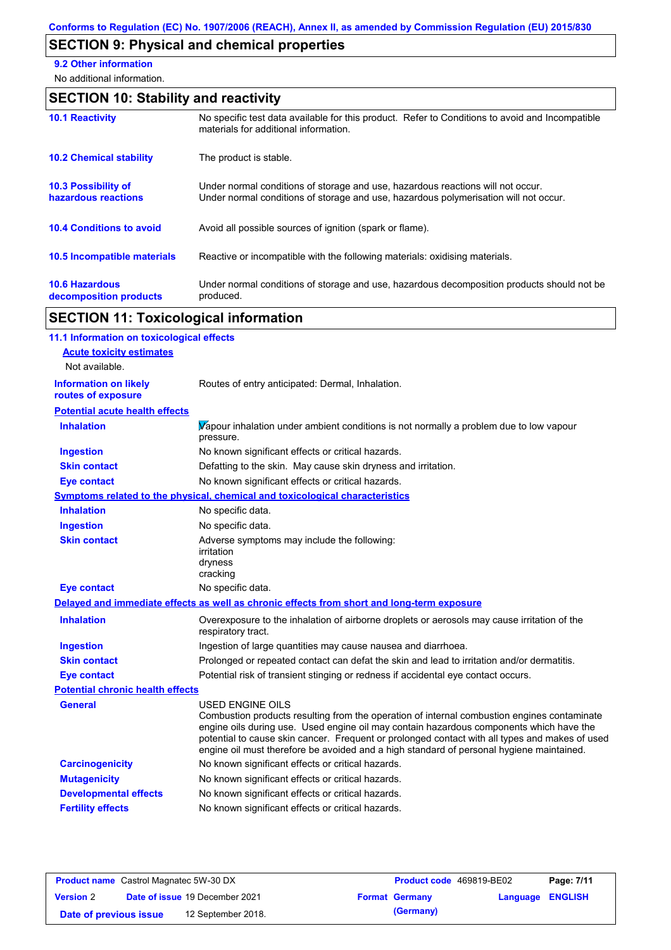# **SECTION 9: Physical and chemical properties**

**9.2 Other information**

No additional information.

# **SECTION 10: Stability and reactivity**

| <b>10.1 Reactivity</b>                            | No specific test data available for this product. Refer to Conditions to avoid and Incompatible<br>materials for additional information.                                |
|---------------------------------------------------|-------------------------------------------------------------------------------------------------------------------------------------------------------------------------|
| <b>10.2 Chemical stability</b>                    | The product is stable.                                                                                                                                                  |
| <b>10.3 Possibility of</b><br>hazardous reactions | Under normal conditions of storage and use, hazardous reactions will not occur.<br>Under normal conditions of storage and use, hazardous polymerisation will not occur. |
| <b>10.4 Conditions to avoid</b>                   | Avoid all possible sources of ignition (spark or flame).                                                                                                                |
| <b>10.5 Incompatible materials</b>                | Reactive or incompatible with the following materials: oxidising materials.                                                                                             |
| <b>10.6 Hazardous</b><br>decomposition products   | Under normal conditions of storage and use, hazardous decomposition products should not be<br>produced.                                                                 |

# **SECTION 11: Toxicological information**

| 11.1 Information on toxicological effects          |                                                                                                                                                                                                                                                                                                                                                                                                                 |
|----------------------------------------------------|-----------------------------------------------------------------------------------------------------------------------------------------------------------------------------------------------------------------------------------------------------------------------------------------------------------------------------------------------------------------------------------------------------------------|
| <b>Acute toxicity estimates</b>                    |                                                                                                                                                                                                                                                                                                                                                                                                                 |
| Not available.                                     |                                                                                                                                                                                                                                                                                                                                                                                                                 |
| <b>Information on likely</b><br>routes of exposure | Routes of entry anticipated: Dermal, Inhalation.                                                                                                                                                                                                                                                                                                                                                                |
| <b>Potential acute health effects</b>              |                                                                                                                                                                                                                                                                                                                                                                                                                 |
| <b>Inhalation</b>                                  | Vapour inhalation under ambient conditions is not normally a problem due to low vapour<br>pressure.                                                                                                                                                                                                                                                                                                             |
| <b>Ingestion</b>                                   | No known significant effects or critical hazards.                                                                                                                                                                                                                                                                                                                                                               |
| <b>Skin contact</b>                                | Defatting to the skin. May cause skin dryness and irritation.                                                                                                                                                                                                                                                                                                                                                   |
| <b>Eye contact</b>                                 | No known significant effects or critical hazards.                                                                                                                                                                                                                                                                                                                                                               |
|                                                    | <b>Symptoms related to the physical, chemical and toxicological characteristics</b>                                                                                                                                                                                                                                                                                                                             |
| <b>Inhalation</b>                                  | No specific data.                                                                                                                                                                                                                                                                                                                                                                                               |
| <b>Ingestion</b>                                   | No specific data.                                                                                                                                                                                                                                                                                                                                                                                               |
| <b>Skin contact</b>                                | Adverse symptoms may include the following:<br>irritation<br>dryness<br>cracking                                                                                                                                                                                                                                                                                                                                |
| <b>Eye contact</b>                                 | No specific data.                                                                                                                                                                                                                                                                                                                                                                                               |
|                                                    | Delayed and immediate effects as well as chronic effects from short and long-term exposure                                                                                                                                                                                                                                                                                                                      |
| <b>Inhalation</b>                                  | Overexposure to the inhalation of airborne droplets or aerosols may cause irritation of the<br>respiratory tract.                                                                                                                                                                                                                                                                                               |
| <b>Ingestion</b>                                   | Ingestion of large quantities may cause nausea and diarrhoea.                                                                                                                                                                                                                                                                                                                                                   |
| <b>Skin contact</b>                                | Prolonged or repeated contact can defat the skin and lead to irritation and/or dermatitis.                                                                                                                                                                                                                                                                                                                      |
| <b>Eye contact</b>                                 | Potential risk of transient stinging or redness if accidental eye contact occurs.                                                                                                                                                                                                                                                                                                                               |
| <b>Potential chronic health effects</b>            |                                                                                                                                                                                                                                                                                                                                                                                                                 |
| General                                            | <b>USED ENGINE OILS</b><br>Combustion products resulting from the operation of internal combustion engines contaminate<br>engine oils during use. Used engine oil may contain hazardous components which have the<br>potential to cause skin cancer. Frequent or prolonged contact with all types and makes of used<br>engine oil must therefore be avoided and a high standard of personal hygiene maintained. |
| <b>Carcinogenicity</b>                             | No known significant effects or critical hazards.                                                                                                                                                                                                                                                                                                                                                               |
| <b>Mutagenicity</b>                                | No known significant effects or critical hazards.                                                                                                                                                                                                                                                                                                                                                               |
| <b>Developmental effects</b>                       | No known significant effects or critical hazards.                                                                                                                                                                                                                                                                                                                                                               |
| <b>Fertility effects</b>                           | No known significant effects or critical hazards.                                                                                                                                                                                                                                                                                                                                                               |
|                                                    |                                                                                                                                                                                                                                                                                                                                                                                                                 |

| <b>Product name</b> Castrol Magnatec 5W-30 DX |  |                                       | <b>Product code</b> 469819-BE02 |                       | Page: 7/11              |  |
|-----------------------------------------------|--|---------------------------------------|---------------------------------|-----------------------|-------------------------|--|
| <b>Version 2</b>                              |  | <b>Date of issue 19 December 2021</b> |                                 | <b>Format Germany</b> | <b>Language ENGLISH</b> |  |
| Date of previous issue                        |  | 12 September 2018.                    |                                 | (Germany)             |                         |  |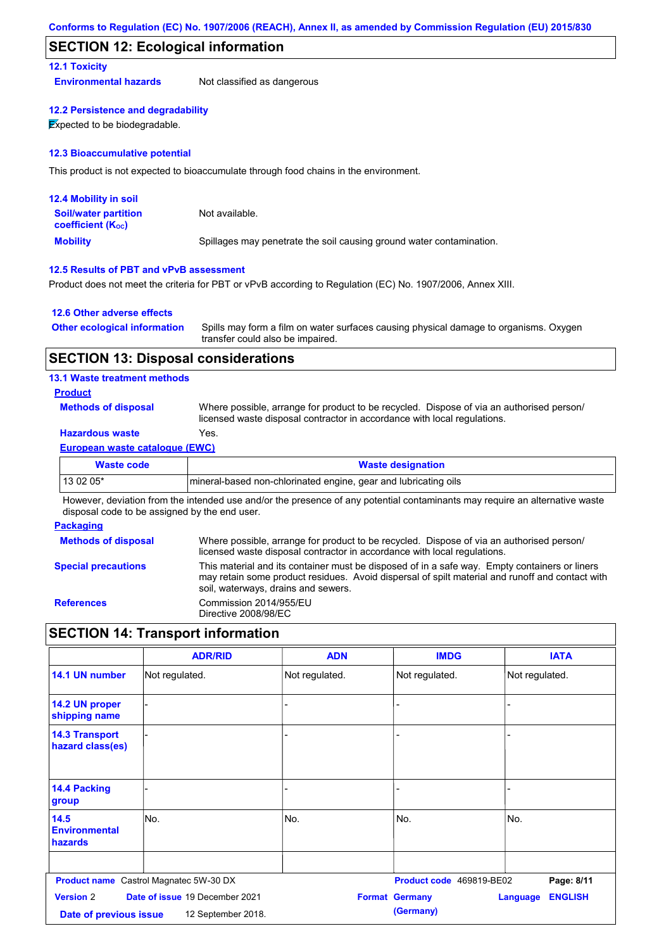#### **SECTION 12: Ecological information**

#### **12.1 Toxicity**

**Environmental hazards** Not classified as dangerous

#### **12.2 Persistence and degradability**

**Expected to be biodegradable.** 

#### **12.3 Bioaccumulative potential**

This product is not expected to bioaccumulate through food chains in the environment.

| <b>12.4 Mobility in soil</b>                                  |                                                                      |
|---------------------------------------------------------------|----------------------------------------------------------------------|
| <b>Soil/water partition</b><br>coefficient (K <sub>oc</sub> ) | Not available.                                                       |
| <b>Mobility</b>                                               | Spillages may penetrate the soil causing ground water contamination. |

#### **12.5 Results of PBT and vPvB assessment**

Product does not meet the criteria for PBT or vPvB according to Regulation (EC) No. 1907/2006, Annex XIII.

#### **12.6 Other adverse effects**

| <b>Other ecological information</b> | Spills may form a film on water surfaces causing physical damage to organisms. Oxygen |
|-------------------------------------|---------------------------------------------------------------------------------------|
|                                     | transfer could also be impaired.                                                      |

#### **SECTION 13: Disposal considerations**

#### **13.1 Waste treatment methods**

#### **Product**

**Methods of disposal**

Where possible, arrange for product to be recycled. Dispose of via an authorised person/ licensed waste disposal contractor in accordance with local regulations.

### **Hazardous waste** Yes.

#### **European waste catalogue (EWC)**

| Waste code | <b>Waste designation</b>                                         |
|------------|------------------------------------------------------------------|
| 13 02 05*  | Imineral-based non-chlorinated engine, gear and lubricating oils |

However, deviation from the intended use and/or the presence of any potential contaminants may require an alternative waste disposal code to be assigned by the end user.

#### **Packaging**

| <b>Methods of disposal</b> | Where possible, arrange for product to be recycled. Dispose of via an authorised person/<br>licensed waste disposal contractor in accordance with local regulations.                                                                    |
|----------------------------|-----------------------------------------------------------------------------------------------------------------------------------------------------------------------------------------------------------------------------------------|
| <b>Special precautions</b> | This material and its container must be disposed of in a safe way. Empty containers or liners<br>may retain some product residues. Avoid dispersal of spilt material and runoff and contact with<br>soil, waterways, drains and sewers. |
| <b>References</b>          | Commission 2014/955/EU<br>Directive 2008/98/EC                                                                                                                                                                                          |

# **SECTION 14: Transport information**

|                                                | <b>ADR/RID</b>                                       | <b>ADN</b>     | <b>IMDG</b>                        | <b>IATA</b>                       |
|------------------------------------------------|------------------------------------------------------|----------------|------------------------------------|-----------------------------------|
| 14.1 UN number                                 | Not regulated.                                       | Not regulated. | Not regulated.                     | Not regulated.                    |
| 14.2 UN proper<br>shipping name                |                                                      | -              |                                    |                                   |
| <b>14.3 Transport</b><br>hazard class(es)      |                                                      |                |                                    |                                   |
| 14.4 Packing<br>group                          |                                                      |                |                                    |                                   |
| 14.5<br><b>Environmental</b><br><b>hazards</b> | No.                                                  | No.            | No.                                | No.                               |
|                                                | <b>Product name</b> Castrol Magnatec 5W-30 DX        |                | Product code 469819-BE02           | Page: 8/11                        |
| <b>Version 2</b><br>Date of previous issue     | Date of issue 19 December 2021<br>12 September 2018. |                | <b>Format Germany</b><br>(Germany) | <b>ENGLISH</b><br><b>Language</b> |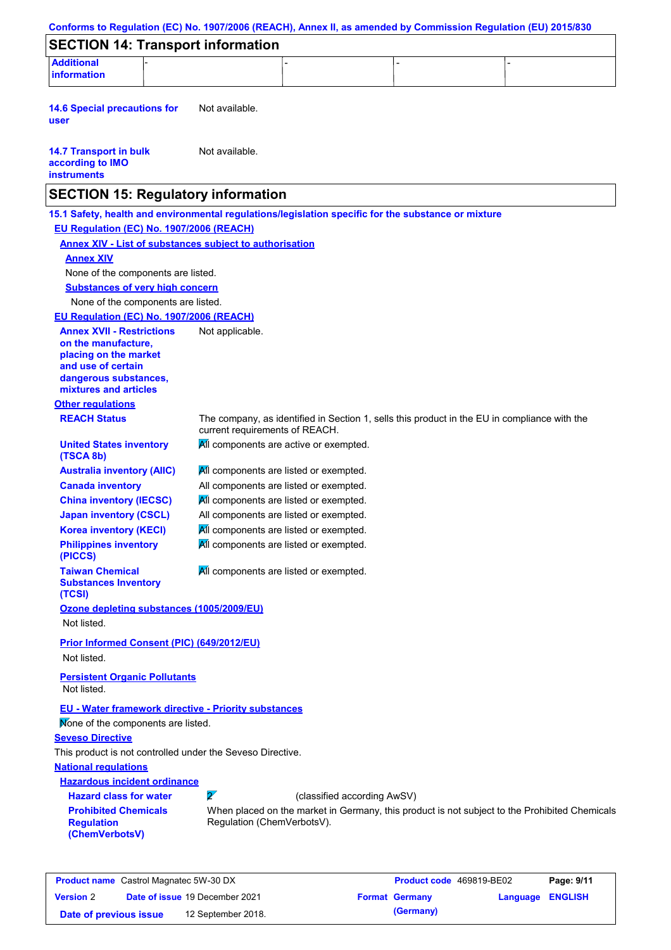| <b>SECTION 14: Transport information</b>                                                            |                 |                                                                                  |                             |                                                                                               |  |
|-----------------------------------------------------------------------------------------------------|-----------------|----------------------------------------------------------------------------------|-----------------------------|-----------------------------------------------------------------------------------------------|--|
| <b>Additional</b><br>information                                                                    |                 |                                                                                  |                             |                                                                                               |  |
|                                                                                                     |                 |                                                                                  |                             |                                                                                               |  |
| <b>14.6 Special precautions for</b><br>user                                                         | Not available.  |                                                                                  |                             |                                                                                               |  |
| <b>14.7 Transport in bulk</b><br>according to IMO<br><b>instruments</b>                             | Not available.  |                                                                                  |                             |                                                                                               |  |
| <b>SECTION 15: Regulatory information</b>                                                           |                 |                                                                                  |                             |                                                                                               |  |
| 15.1 Safety, health and environmental regulations/legislation specific for the substance or mixture |                 |                                                                                  |                             |                                                                                               |  |
| EU Regulation (EC) No. 1907/2006 (REACH)                                                            |                 |                                                                                  |                             |                                                                                               |  |
| <b>Annex XIV - List of substances subject to authorisation</b>                                      |                 |                                                                                  |                             |                                                                                               |  |
| <b>Annex XIV</b>                                                                                    |                 |                                                                                  |                             |                                                                                               |  |
| None of the components are listed.                                                                  |                 |                                                                                  |                             |                                                                                               |  |
| <b>Substances of very high concern</b>                                                              |                 |                                                                                  |                             |                                                                                               |  |
| None of the components are listed.                                                                  |                 |                                                                                  |                             |                                                                                               |  |
| EU Regulation (EC) No. 1907/2006 (REACH)                                                            |                 |                                                                                  |                             |                                                                                               |  |
| <b>Annex XVII - Restrictions</b><br>on the manufacture.                                             | Not applicable. |                                                                                  |                             |                                                                                               |  |
| placing on the market                                                                               |                 |                                                                                  |                             |                                                                                               |  |
| and use of certain                                                                                  |                 |                                                                                  |                             |                                                                                               |  |
| dangerous substances,<br>mixtures and articles                                                      |                 |                                                                                  |                             |                                                                                               |  |
| <b>Other regulations</b>                                                                            |                 |                                                                                  |                             |                                                                                               |  |
| <b>REACH Status</b>                                                                                 |                 | current requirements of REACH.                                                   |                             | The company, as identified in Section 1, sells this product in the EU in compliance with the  |  |
| <b>United States inventory</b><br>(TSCA 8b)                                                         |                 | All components are active or exempted.                                           |                             |                                                                                               |  |
| <b>Australia inventory (AIIC)</b>                                                                   |                 | All components are listed or exempted.                                           |                             |                                                                                               |  |
| <b>Canada inventory</b>                                                                             |                 | All components are listed or exempted.                                           |                             |                                                                                               |  |
| <b>China inventory (IECSC)</b>                                                                      |                 | All components are listed or exempted.                                           |                             |                                                                                               |  |
| <b>Japan inventory (CSCL)</b><br><b>Korea inventory (KECI)</b>                                      |                 | All components are listed or exempted.<br>All components are listed or exempted. |                             |                                                                                               |  |
| <b>Philippines inventory</b>                                                                        |                 | All components are listed or exempted.                                           |                             |                                                                                               |  |
| (PICCS)                                                                                             |                 |                                                                                  |                             |                                                                                               |  |
| <b>Taiwan Chemical</b><br><b>Substances Inventory</b>                                               |                 | All components are listed or exempted.                                           |                             |                                                                                               |  |
| (TCSI)<br>Ozone depleting substances (1005/2009/EU)                                                 |                 |                                                                                  |                             |                                                                                               |  |
| Not listed.                                                                                         |                 |                                                                                  |                             |                                                                                               |  |
| Prior Informed Consent (PIC) (649/2012/EU)                                                          |                 |                                                                                  |                             |                                                                                               |  |
| Not listed.                                                                                         |                 |                                                                                  |                             |                                                                                               |  |
| <b>Persistent Organic Pollutants</b><br>Not listed.                                                 |                 |                                                                                  |                             |                                                                                               |  |
| EU - Water framework directive - Priority substances<br>Mone of the components are listed.          |                 |                                                                                  |                             |                                                                                               |  |
| <b>Seveso Directive</b>                                                                             |                 |                                                                                  |                             |                                                                                               |  |
| This product is not controlled under the Seveso Directive.                                          |                 |                                                                                  |                             |                                                                                               |  |
| <b>National regulations</b>                                                                         |                 |                                                                                  |                             |                                                                                               |  |
| <b>Hazardous incident ordinance</b>                                                                 |                 |                                                                                  |                             |                                                                                               |  |
| <b>Hazard class for water</b><br><b>Prohibited Chemicals</b>                                        | $\mathbf{z}$    |                                                                                  | (classified according AwSV) |                                                                                               |  |
| <b>Regulation</b><br>(ChemVerbotsV)                                                                 |                 | Regulation (ChemVerbotsV).                                                       |                             | When placed on the market in Germany, this product is not subject to the Prohibited Chemicals |  |

| <b>Product name</b> Castrol Magnatec 5W-30 DX |  |                                       | Product code 469819-BE02 |                       | Page: 9/11       |  |
|-----------------------------------------------|--|---------------------------------------|--------------------------|-----------------------|------------------|--|
| <b>Version 2</b>                              |  | <b>Date of issue 19 December 2021</b> |                          | <b>Format Germany</b> | Language ENGLISH |  |
| Date of previous issue                        |  | 12 September 2018.                    |                          | (Germany)             |                  |  |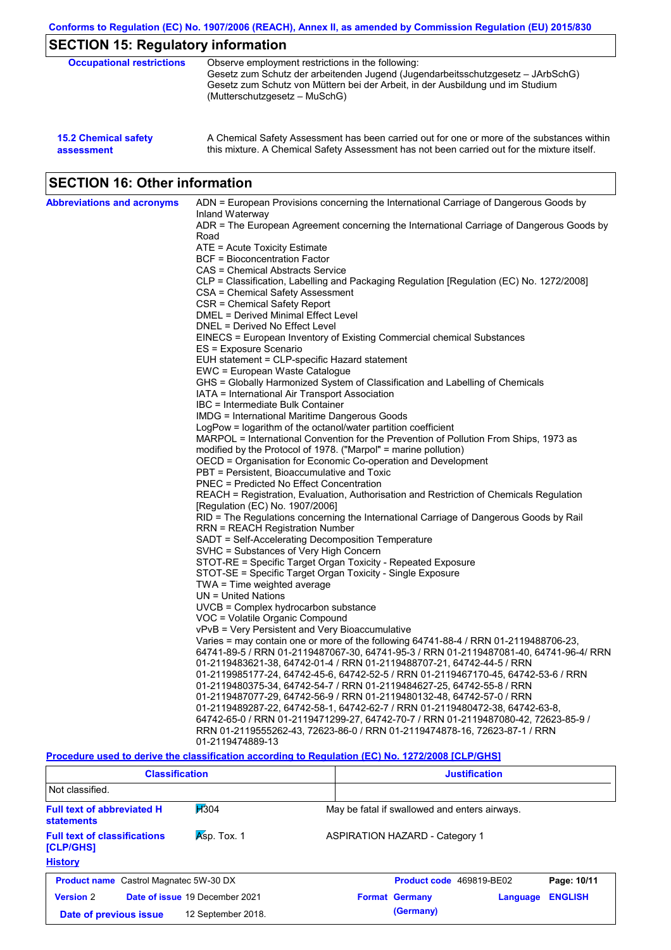| <b>15.2 Chemical safety</b> | A Chemical Safety Assessment has been carried out for one or more of the substances within  |
|-----------------------------|---------------------------------------------------------------------------------------------|
| assessment                  | this mixture. A Chemical Safety Assessment has not been carried out for the mixture itself. |

# **SECTION 16: Other information**

| <b>Abbreviations and acronyms</b> | ADN = European Provisions concerning the International Carriage of Dangerous Goods by            |
|-----------------------------------|--------------------------------------------------------------------------------------------------|
|                                   | Inland Waterway                                                                                  |
|                                   | ADR = The European Agreement concerning the International Carriage of Dangerous Goods by<br>Road |
|                                   | ATE = Acute Toxicity Estimate                                                                    |
|                                   | BCF = Bioconcentration Factor                                                                    |
|                                   | CAS = Chemical Abstracts Service                                                                 |
|                                   | CLP = Classification, Labelling and Packaging Regulation [Regulation (EC) No. 1272/2008]         |
|                                   | CSA = Chemical Safety Assessment                                                                 |
|                                   | CSR = Chemical Safety Report                                                                     |
|                                   | DMEL = Derived Minimal Effect Level                                                              |
|                                   | DNEL = Derived No Effect Level                                                                   |
|                                   | EINECS = European Inventory of Existing Commercial chemical Substances                           |
|                                   | ES = Exposure Scenario                                                                           |
|                                   | EUH statement = CLP-specific Hazard statement                                                    |
|                                   | EWC = European Waste Catalogue                                                                   |
|                                   | GHS = Globally Harmonized System of Classification and Labelling of Chemicals                    |
|                                   | IATA = International Air Transport Association                                                   |
|                                   | IBC = Intermediate Bulk Container<br><b>IMDG</b> = International Maritime Dangerous Goods        |
|                                   | LogPow = logarithm of the octanol/water partition coefficient                                    |
|                                   | MARPOL = International Convention for the Prevention of Pollution From Ships, 1973 as            |
|                                   | modified by the Protocol of 1978. ("Marpol" = marine pollution)                                  |
|                                   | OECD = Organisation for Economic Co-operation and Development                                    |
|                                   | PBT = Persistent, Bioaccumulative and Toxic                                                      |
|                                   | <b>PNEC = Predicted No Effect Concentration</b>                                                  |
|                                   | REACH = Registration, Evaluation, Authorisation and Restriction of Chemicals Regulation          |
|                                   | [Regulation (EC) No. 1907/2006]                                                                  |
|                                   | RID = The Regulations concerning the International Carriage of Dangerous Goods by Rail           |
|                                   | RRN = REACH Registration Number                                                                  |
|                                   | SADT = Self-Accelerating Decomposition Temperature                                               |
|                                   | SVHC = Substances of Very High Concern                                                           |
|                                   | STOT-RE = Specific Target Organ Toxicity - Repeated Exposure                                     |
|                                   | STOT-SE = Specific Target Organ Toxicity - Single Exposure                                       |
|                                   | $TWA = Time$ weighted average<br>UN = United Nations                                             |
|                                   | $UVCB = Complex\;hydrocarbon\; substance$                                                        |
|                                   | VOC = Volatile Organic Compound                                                                  |
|                                   | vPvB = Very Persistent and Very Bioaccumulative                                                  |
|                                   | Varies = may contain one or more of the following 64741-88-4 / RRN 01-2119488706-23,             |
|                                   | 64741-89-5 / RRN 01-2119487067-30, 64741-95-3 / RRN 01-2119487081-40, 64741-96-4/ RRN            |
|                                   | 01-2119483621-38, 64742-01-4 / RRN 01-2119488707-21, 64742-44-5 / RRN                            |
|                                   | 01-2119985177-24, 64742-45-6, 64742-52-5 / RRN 01-2119467170-45, 64742-53-6 / RRN                |
|                                   | 01-2119480375-34, 64742-54-7 / RRN 01-2119484627-25, 64742-55-8 / RRN                            |
|                                   | 01-2119487077-29, 64742-56-9 / RRN 01-2119480132-48, 64742-57-0 / RRN                            |
|                                   | 01-2119489287-22, 64742-58-1, 64742-62-7 / RRN 01-2119480472-38, 64742-63-8,                     |
|                                   | 64742-65-0 / RRN 01-2119471299-27, 64742-70-7 / RRN 01-2119487080-42, 72623-85-9 /               |
|                                   | RRN 01-2119555262-43, 72623-86-0 / RRN 01-2119474878-16, 72623-87-1 / RRN                        |
|                                   | 01-2119474889-13                                                                                 |

#### **Procedure used to derive the classification according to Regulation (EC) No. 1272/2008 [CLP/GHS]**

| <b>Classification</b>                                                      |                                | <b>Justification</b>                  |                                               |          |                |  |
|----------------------------------------------------------------------------|--------------------------------|---------------------------------------|-----------------------------------------------|----------|----------------|--|
| Not classified.                                                            |                                |                                       |                                               |          |                |  |
| H <sub>304</sub><br><b>Full text of abbreviated H</b><br><b>statements</b> |                                |                                       | May be fatal if swallowed and enters airways. |          |                |  |
| Asp. Tox. 1<br><b>Full text of classifications</b><br>[CLP/GHS]            |                                | <b>ASPIRATION HAZARD - Category 1</b> |                                               |          |                |  |
| <b>History</b>                                                             |                                |                                       |                                               |          |                |  |
| <b>Product name</b> Castrol Magnatec 5W-30 DX                              |                                |                                       | Product code 469819-BE02                      |          | Page: 10/11    |  |
| <b>Version 2</b>                                                           | Date of issue 19 December 2021 |                                       | <b>Format Germany</b>                         | Language | <b>ENGLISH</b> |  |
| 12 September 2018.<br>Date of previous issue                               |                                |                                       | (Germany)                                     |          |                |  |